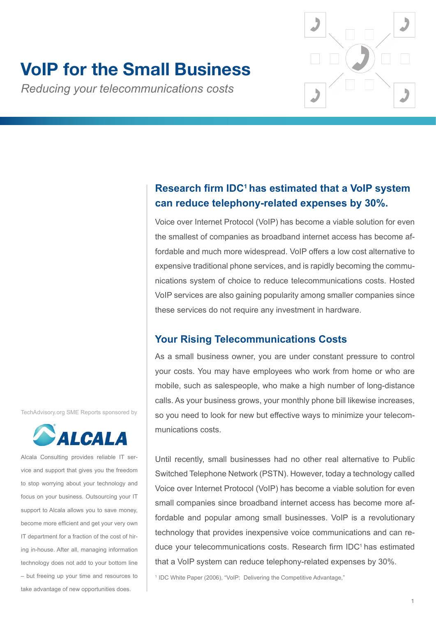# **VoIP for the Small Business**

*Reducing your telecommunications costs*



Voice over Internet Protocol (VoIP) has become a viable solution for even the smallest of companies as broadband internet access has become affordable and much more widespread. VoIP offers a low cost alternative to expensive traditional phone services, and is rapidly becoming the communications system of choice to reduce telecommunications costs. Hosted VoIP services are also gaining popularity among smaller companies since these services do not require any investment in hardware.

# **Your Rising Telecommunications Costs**

As a small business owner, you are under constant pressure to control your costs. You may have employees who work from home or who are mobile, such as salespeople, who make a high number of long-distance calls. As your business grows, your monthly phone bill likewise increases, so you need to look for new but effective ways to minimize your telecommunications costs.

Until recently, small businesses had no other real alternative to Public Switched Telephone Network (PSTN). However, today a technology called Voice over Internet Protocol (VoIP) has become a viable solution for even small companies since broadband internet access has become more affordable and popular among small businesses. VoIP is a revolutionary technology that provides inexpensive voice communications and can reduce your telecommunications costs. Research firm IDC<sup>1</sup> has estimated that a VoIP system can reduce telephony-related expenses by 30%.

<sup>1</sup> IDC White Paper (2006), "VoIP: Delivering the Competitive Advantage,"

TechAdvisory.org SME Reports sponsored by



Alcala Consulting provides reliable IT service and support that gives you the freedom to stop worrying about your technology and focus on your business. Outsourcing your IT support to Alcala allows you to save money, become more efficient and get your very own IT department for a fraction of the cost of hiring in-house. After all, managing information technology does not add to your bottom line – but freeing up your time and resources to take advantage of new opportunities does.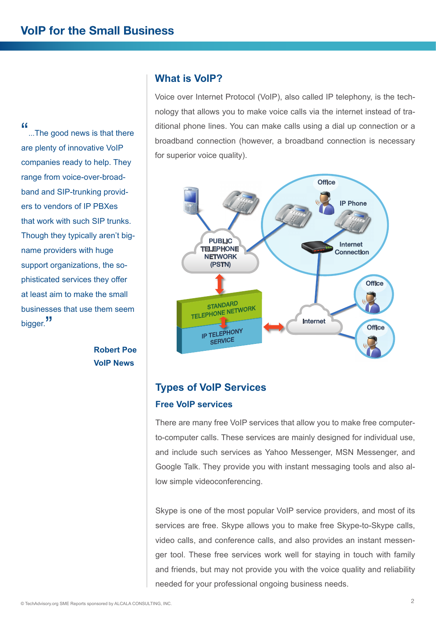"...The good news is that there are plenty of innovative VoIP companies ready to help. They range from voice-over-broadband and SIP-trunking providers to vendors of IP PBXes that work with such SIP trunks. Though they typically aren't bigname providers with huge support organizations, the sophisticated services they offer at least aim to make the small businesses that use them seem bigger."

> **Robert Poe VoIP News**

### **What is VoIP?**

Voice over Internet Protocol (VoIP), also called IP telephony, is the technology that allows you to make voice calls via the internet instead of traditional phone lines. You can make calls using a dial up connection or a broadband connection (however, a broadband connection is necessary for superior voice quality).



# **Types of VoIP Services Free VoIP services**

There are many free VoIP services that allow you to make free computerto-computer calls. These services are mainly designed for individual use, and include such services as Yahoo Messenger, MSN Messenger, and Google Talk. They provide you with instant messaging tools and also allow simple videoconferencing.

Skype is one of the most popular VoIP service providers, and most of its services are free. Skype allows you to make free Skype-to-Skype calls, video calls, and conference calls, and also provides an instant messenger tool. These free services work well for staying in touch with family and friends, but may not provide you with the voice quality and reliability needed for your professional ongoing business needs.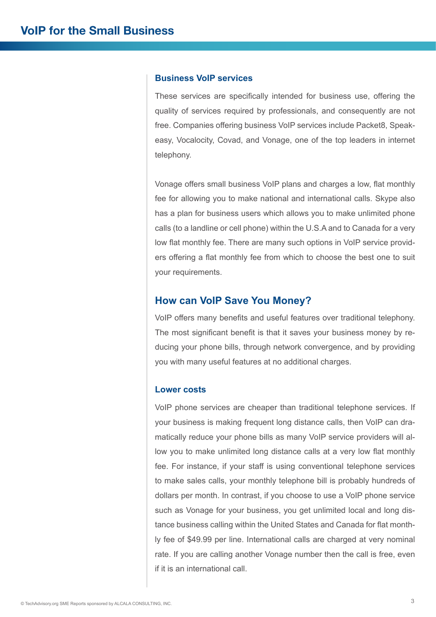#### **Business VoIP services**

These services are specifically intended for business use, offering the quality of services required by professionals, and consequently are not free. Companies offering business VoIP services include Packet8, Speakeasy, Vocalocity, Covad, and Vonage, one of the top leaders in internet telephony.

Vonage offers small business VoIP plans and charges a low, flat monthly fee for allowing you to make national and international calls. Skype also has a plan for business users which allows you to make unlimited phone calls (to a landline or cell phone) within the U.S.A and to Canada for a very low flat monthly fee. There are many such options in VoIP service providers offering a flat monthly fee from which to choose the best one to suit your requirements.

#### **How can VoIP Save You Money?**

VoIP offers many benefits and useful features over traditional telephony. The most significant benefit is that it saves your business money by reducing your phone bills, through network convergence, and by providing you with many useful features at no additional charges.

#### **Lower costs**

VoIP phone services are cheaper than traditional telephone services. If your business is making frequent long distance calls, then VoIP can dramatically reduce your phone bills as many VoIP service providers will allow you to make unlimited long distance calls at a very low flat monthly fee. For instance, if your staff is using conventional telephone services to make sales calls, your monthly telephone bill is probably hundreds of dollars per month. In contrast, if you choose to use a VoIP phone service such as Vonage for your business, you get unlimited local and long distance business calling within the United States and Canada for flat monthly fee of \$49.99 per line. International calls are charged at very nominal rate. If you are calling another Vonage number then the call is free, even if it is an international call.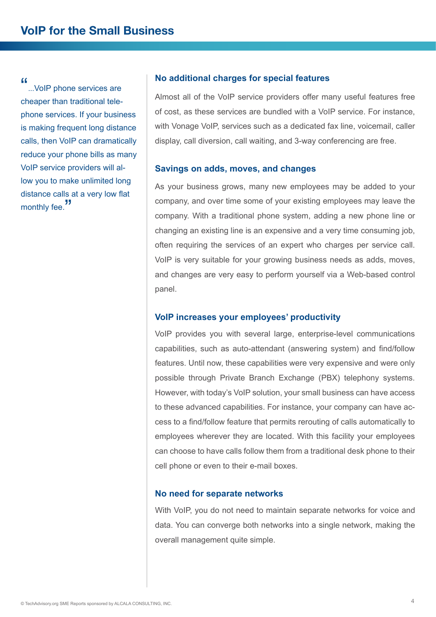"...VoIP phone services are cheaper than traditional telephone services. If your business is making frequent long distance calls, then VoIP can dramatically reduce your phone bills as many VoIP service providers will allow you to make unlimited long distance calls at a very low flat monthly fee.<sup>"</sup>

#### **No additional charges for special features**

Almost all of the VoIP service providers offer many useful features free of cost, as these services are bundled with a VoIP service. For instance, with Vonage VoIP, services such as a dedicated fax line, voicemail, caller display, call diversion, call waiting, and 3-way conferencing are free.

#### **Savings on adds, moves, and changes**

As your business grows, many new employees may be added to your company, and over time some of your existing employees may leave the company. With a traditional phone system, adding a new phone line or changing an existing line is an expensive and a very time consuming job, often requiring the services of an expert who charges per service call. VoIP is very suitable for your growing business needs as adds, moves, and changes are very easy to perform yourself via a Web-based control panel.

#### **VoIP increases your employees' productivity**

VoIP provides you with several large, enterprise-level communications capabilities, such as auto-attendant (answering system) and find/follow features. Until now, these capabilities were very expensive and were only possible through Private Branch Exchange (PBX) telephony systems. However, with today's VoIP solution, your small business can have access to these advanced capabilities. For instance, your company can have access to a find/follow feature that permits rerouting of calls automatically to employees wherever they are located. With this facility your employees can choose to have calls follow them from a traditional desk phone to their cell phone or even to their e-mail boxes.

#### **No need for separate networks**

With VoIP, you do not need to maintain separate networks for voice and data. You can converge both networks into a single network, making the overall management quite simple.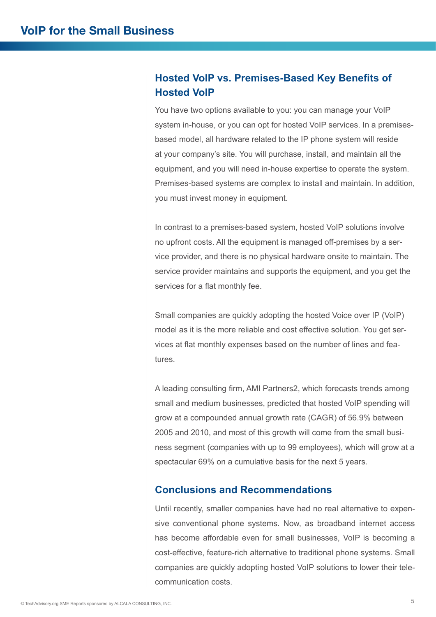# **Hosted VoIP vs. Premises-Based Key Benefits of Hosted VoIP**

You have two options available to you: you can manage your VoIP system in-house, or you can opt for hosted VoIP services. In a premisesbased model, all hardware related to the IP phone system will reside at your company's site. You will purchase, install, and maintain all the equipment, and you will need in-house expertise to operate the system. Premises-based systems are complex to install and maintain. In addition, you must invest money in equipment.

In contrast to a premises-based system, hosted VoIP solutions involve no upfront costs. All the equipment is managed off-premises by a service provider, and there is no physical hardware onsite to maintain. The service provider maintains and supports the equipment, and you get the services for a flat monthly fee.

Small companies are quickly adopting the hosted Voice over IP (VoIP) model as it is the more reliable and cost effective solution. You get services at flat monthly expenses based on the number of lines and features.

A leading consulting firm, AMI Partners2, which forecasts trends among small and medium businesses, predicted that hosted VoIP spending will grow at a compounded annual growth rate (CAGR) of 56.9% between 2005 and 2010, and most of this growth will come from the small business segment (companies with up to 99 employees), which will grow at a spectacular 69% on a cumulative basis for the next 5 years.

## **Conclusions and Recommendations**

Until recently, smaller companies have had no real alternative to expensive conventional phone systems. Now, as broadband internet access has become affordable even for small businesses, VoIP is becoming a cost-effective, feature-rich alternative to traditional phone systems. Small companies are quickly adopting hosted VoIP solutions to lower their telecommunication costs.